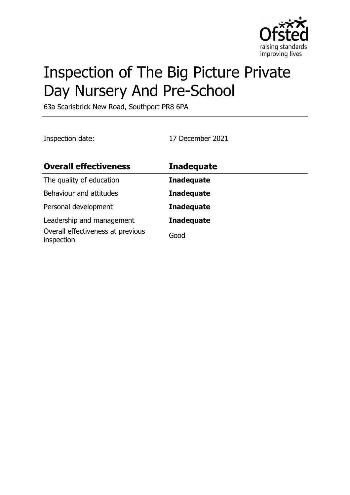

# Inspection of The Big Picture Private Day Nursery And Pre-School

63a Scarisbrick New Road, Southport PR8 6PA

Inspection date: 17 December 2021

| <b>Overall effectiveness</b>                    | <b>Inadequate</b> |
|-------------------------------------------------|-------------------|
| The quality of education                        | <b>Inadequate</b> |
| Behaviour and attitudes                         | <b>Inadequate</b> |
| Personal development                            | <b>Inadequate</b> |
| Leadership and management                       | <b>Inadequate</b> |
| Overall effectiveness at previous<br>inspection | Good              |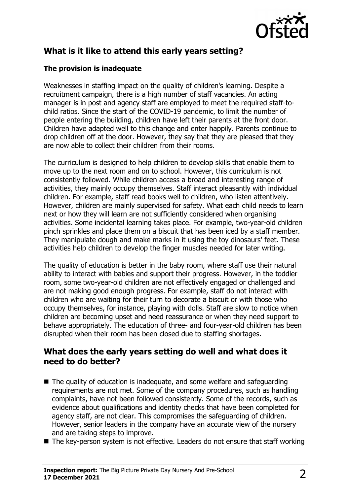

# **What is it like to attend this early years setting?**

#### **The provision is inadequate**

Weaknesses in staffing impact on the quality of children's learning. Despite a recruitment campaign, there is a high number of staff vacancies. An acting manager is in post and agency staff are employed to meet the required staff-tochild ratios. Since the start of the COVID-19 pandemic, to limit the number of people entering the building, children have left their parents at the front door. Children have adapted well to this change and enter happily. Parents continue to drop children off at the door. However, they say that they are pleased that they are now able to collect their children from their rooms.

The curriculum is designed to help children to develop skills that enable them to move up to the next room and on to school. However, this curriculum is not consistently followed. While children access a broad and interesting range of activities, they mainly occupy themselves. Staff interact pleasantly with individual children. For example, staff read books well to children, who listen attentively. However, children are mainly supervised for safety. What each child needs to learn next or how they will learn are not sufficiently considered when organising activities. Some incidental learning takes place. For example, two-year-old children pinch sprinkles and place them on a biscuit that has been iced by a staff member. They manipulate dough and make marks in it using the toy dinosaurs' feet. These activities help children to develop the finger muscles needed for later writing.

The quality of education is better in the baby room, where staff use their natural ability to interact with babies and support their progress. However, in the toddler room, some two-year-old children are not effectively engaged or challenged and are not making good enough progress. For example, staff do not interact with children who are waiting for their turn to decorate a biscuit or with those who occupy themselves, for instance, playing with dolls. Staff are slow to notice when children are becoming upset and need reassurance or when they need support to behave appropriately. The education of three- and four-year-old children has been disrupted when their room has been closed due to staffing shortages.

### **What does the early years setting do well and what does it need to do better?**

- $\blacksquare$  The quality of education is inadequate, and some welfare and safeguarding requirements are not met. Some of the company procedures, such as handling complaints, have not been followed consistently. Some of the records, such as evidence about qualifications and identity checks that have been completed for agency staff, are not clear. This compromises the safeguarding of children. However, senior leaders in the company have an accurate view of the nursery and are taking steps to improve.
- $\blacksquare$  The key-person system is not effective. Leaders do not ensure that staff working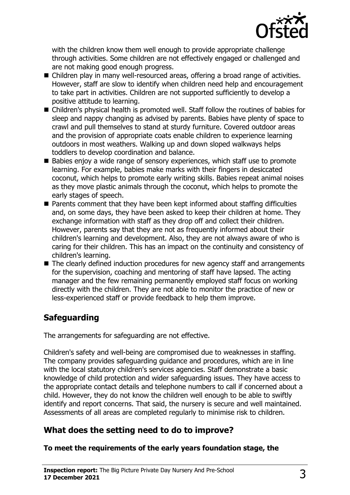

with the children know them well enough to provide appropriate challenge through activities. Some children are not effectively engaged or challenged and are not making good enough progress.

- Children play in many well-resourced areas, offering a broad range of activities. However, staff are slow to identify when children need help and encouragement to take part in activities. Children are not supported sufficiently to develop a positive attitude to learning.
- Children's physical health is promoted well. Staff follow the routines of babies for sleep and nappy changing as advised by parents. Babies have plenty of space to crawl and pull themselves to stand at sturdy furniture. Covered outdoor areas and the provision of appropriate coats enable children to experience learning outdoors in most weathers. Walking up and down sloped walkways helps toddlers to develop coordination and balance.
- $\blacksquare$  Babies enjoy a wide range of sensory experiences, which staff use to promote learning. For example, babies make marks with their fingers in desiccated coconut, which helps to promote early writing skills. Babies repeat animal noises as they move plastic animals through the coconut, which helps to promote the early stages of speech.
- $\blacksquare$  Parents comment that they have been kept informed about staffing difficulties and, on some days, they have been asked to keep their children at home. They exchange information with staff as they drop off and collect their children. However, parents say that they are not as frequently informed about their children's learning and development. Also, they are not always aware of who is caring for their children. This has an impact on the continuity and consistency of children's learning.
- $\blacksquare$  The clearly defined induction procedures for new agency staff and arrangements for the supervision, coaching and mentoring of staff have lapsed. The acting manager and the few remaining permanently employed staff focus on working directly with the children. They are not able to monitor the practice of new or less-experienced staff or provide feedback to help them improve.

# **Safeguarding**

The arrangements for safeguarding are not effective.

Children's safety and well-being are compromised due to weaknesses in staffing. The company provides safeguarding guidance and procedures, which are in line with the local statutory children's services agencies. Staff demonstrate a basic knowledge of child protection and wider safeguarding issues. They have access to the appropriate contact details and telephone numbers to call if concerned about a child. However, they do not know the children well enough to be able to swiftly identify and report concerns. That said, the nursery is secure and well maintained. Assessments of all areas are completed regularly to minimise risk to children.

# **What does the setting need to do to improve?**

#### **To meet the requirements of the early years foundation stage, the**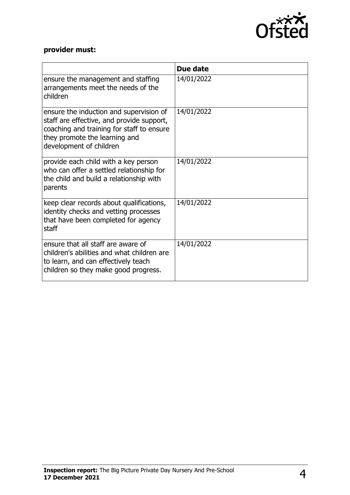

# **provider must:**

|                                                                                                                                                                                               | Due date   |
|-----------------------------------------------------------------------------------------------------------------------------------------------------------------------------------------------|------------|
| ensure the management and staffing<br>arrangements meet the needs of the<br>children                                                                                                          | 14/01/2022 |
| ensure the induction and supervision of<br>staff are effective, and provide support,<br>coaching and training for staff to ensure<br>they promote the learning and<br>development of children | 14/01/2022 |
| provide each child with a key person<br>who can offer a settled relationship for<br>the child and build a relationship with<br>parents                                                        | 14/01/2022 |
| keep clear records about qualifications,<br>identity checks and vetting processes<br>that have been completed for agency<br>staff                                                             | 14/01/2022 |
| ensure that all staff are aware of<br>children's abilities and what children are<br>to learn, and can effectively teach<br>children so they make good progress.                               | 14/01/2022 |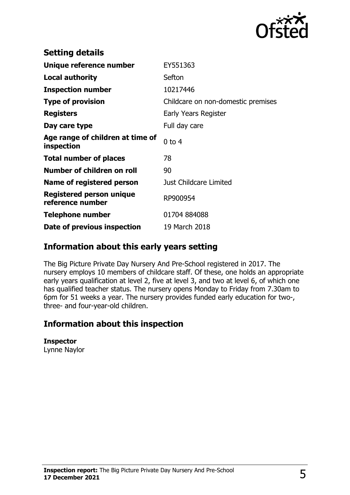

| <b>Setting details</b>                         |                                    |
|------------------------------------------------|------------------------------------|
| Unique reference number                        | EY551363                           |
| <b>Local authority</b>                         | Sefton                             |
| <b>Inspection number</b>                       | 10217446                           |
| <b>Type of provision</b>                       | Childcare on non-domestic premises |
| <b>Registers</b>                               | Early Years Register               |
| Day care type                                  | Full day care                      |
| Age range of children at time of<br>inspection | $0$ to 4                           |
| <b>Total number of places</b>                  | 78                                 |
| Number of children on roll                     | 90                                 |
| Name of registered person                      | Just Childcare Limited             |
| Registered person unique<br>reference number   | RP900954                           |
| Telephone number                               | 01704 884088                       |
| Date of previous inspection                    | 19 March 2018                      |

## **Information about this early years setting**

The Big Picture Private Day Nursery And Pre-School registered in 2017. The nursery employs 10 members of childcare staff. Of these, one holds an appropriate early years qualification at level 2, five at level 3, and two at level 6, of which one has qualified teacher status. The nursery opens Monday to Friday from 7.30am to 6pm for 51 weeks a year. The nursery provides funded early education for two-, three- and four-year-old children.

## **Information about this inspection**

#### **Inspector**

Lynne Naylor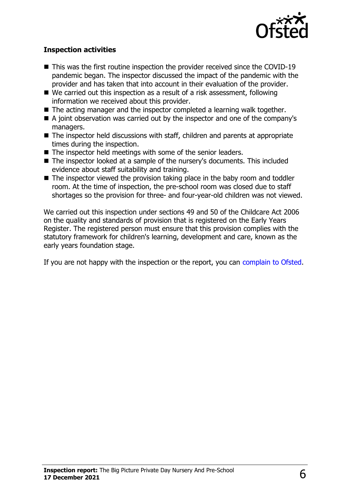

#### **Inspection activities**

- $\blacksquare$  This was the first routine inspection the provider received since the COVID-19 pandemic began. The inspector discussed the impact of the pandemic with the provider and has taken that into account in their evaluation of the provider.
- $\blacksquare$  We carried out this inspection as a result of a risk assessment, following information we received about this provider.
- $\blacksquare$  The acting manager and the inspector completed a learning walk together.
- $\blacksquare$  A joint observation was carried out by the inspector and one of the company's managers.
- $\blacksquare$  The inspector held discussions with staff, children and parents at appropriate times during the inspection.
- $\blacksquare$  The inspector held meetings with some of the senior leaders.
- The inspector looked at a sample of the nursery's documents. This included evidence about staff suitability and training.
- $\blacksquare$  The inspector viewed the provision taking place in the baby room and toddler room. At the time of inspection, the pre-school room was closed due to staff shortages so the provision for three- and four-year-old children was not viewed.

We carried out this inspection under sections 49 and 50 of the Childcare Act 2006 on the quality and standards of provision that is registered on the Early Years Register. The registered person must ensure that this provision complies with the statutory framework for children's learning, development and care, known as the early years foundation stage.

If you are not happy with the inspection or the report, you can [complain to Ofsted](http://www.gov.uk/complain-ofsted-report).